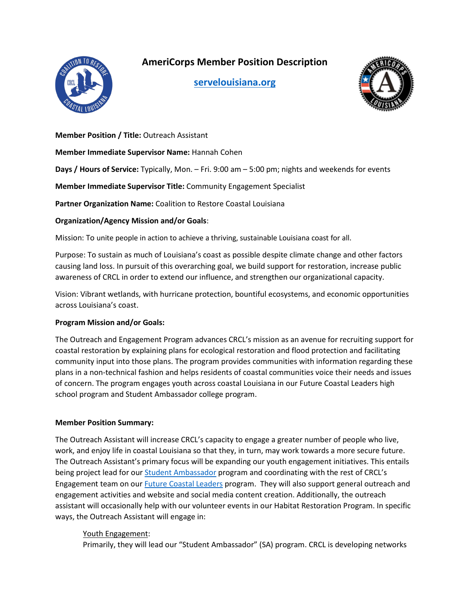

# **AmeriCorps Member Position Description**

**[servelouisiana.org](https://www.servelouisiana.org/)**



### **Member Position / Title:** Outreach Assistant

**Member Immediate Supervisor Name:** Hannah Cohen

**Days / Hours of Service:** Typically, Mon. – Fri. 9:00 am – 5:00 pm; nights and weekends for events

**Member Immediate Supervisor Title:** Community Engagement Specialist

**Partner Organization Name:** Coalition to Restore Coastal Louisiana

#### **Organization/Agency Mission and/or Goals**:

Mission: To unite people in action to achieve a thriving, sustainable Louisiana coast for all.

Purpose: To sustain as much of Louisiana's coast as possible despite climate change and other factors causing land loss. In pursuit of this overarching goal, we build support for restoration, increase public awareness of CRCL in order to extend our influence, and strengthen our organizational capacity.

Vision: Vibrant wetlands, with hurricane protection, bountiful ecosystems, and economic opportunities across Louisiana's coast.

#### **Program Mission and/or Goals:**

The Outreach and Engagement Program advances CRCL's mission as an avenue for recruiting support for coastal restoration by explaining plans for ecological restoration and flood protection and facilitating community input into those plans. The program provides communities with information regarding these plans in a non-technical fashion and helps residents of coastal communities voice their needs and issues of concern. The program engages youth across coastal Louisiana in our Future Coastal Leaders high school program and Student Ambassador college program.

## **Member Position Summary:**

The Outreach Assistant will increase CRCL's capacity to engage a greater number of people who live, work, and enjoy life in coastal Louisiana so that they, in turn, may work towards a more secure future. The Outreach Assistant's primary focus will be expanding our youth engagement initiatives. This entails being project lead for our **Student Ambassador** program and coordinating with the rest of CRCL's Engagement team on our Future [Coastal Leaders](https://www.crcl.org/future-coastal-leaders) program. They will also support general outreach and engagement activities and website and social media content creation. Additionally, the outreach assistant will occasionally help with our volunteer events in our Habitat Restoration Program. In specific ways, the Outreach Assistant will engage in:

## Youth Engagement:

Primarily, they will lead our "Student Ambassador" (SA) program. CRCL is developing networks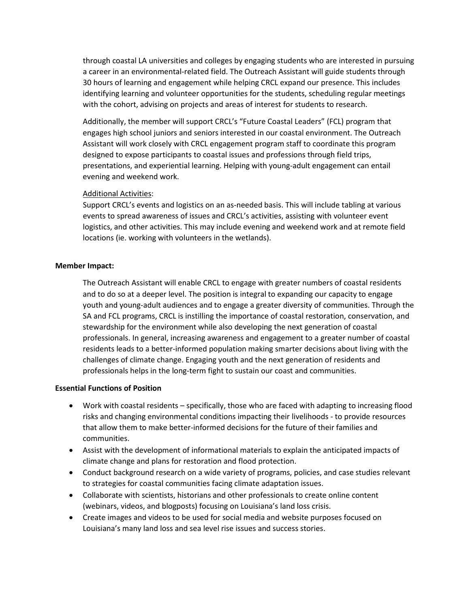through coastal LA universities and colleges by engaging students who are interested in pursuing a career in an environmental-related field. The Outreach Assistant will guide students through 30 hours of learning and engagement while helping CRCL expand our presence. This includes identifying learning and volunteer opportunities for the students, scheduling regular meetings with the cohort, advising on projects and areas of interest for students to research.

Additionally, the member will support CRCL's "Future Coastal Leaders" (FCL) program that engages high school juniors and seniors interested in our coastal environment. The Outreach Assistant will work closely with CRCL engagement program staff to coordinate this program designed to expose participants to coastal issues and professions through field trips, presentations, and experiential learning. Helping with young-adult engagement can entail evening and weekend work.

#### Additional Activities:

Support CRCL's events and logistics on an as-needed basis. This will include tabling at various events to spread awareness of issues and CRCL's activities, assisting with volunteer event logistics, and other activities. This may include evening and weekend work and at remote field locations (ie. working with volunteers in the wetlands).

#### **Member Impact:**

The Outreach Assistant will enable CRCL to engage with greater numbers of coastal residents and to do so at a deeper level. The position is integral to expanding our capacity to engage youth and young-adult audiences and to engage a greater diversity of communities. Through the SA and FCL programs, CRCL is instilling the importance of coastal restoration, conservation, and stewardship for the environment while also developing the next generation of coastal professionals. In general, increasing awareness and engagement to a greater number of coastal residents leads to a better-informed population making smarter decisions about living with the challenges of climate change. Engaging youth and the next generation of residents and professionals helps in the long-term fight to sustain our coast and communities.

#### **Essential Functions of Position**

- Work with coastal residents specifically, those who are faced with adapting to increasing flood risks and changing environmental conditions impacting their livelihoods - to provide resources that allow them to make better-informed decisions for the future of their families and communities.
- Assist with the development of informational materials to explain the anticipated impacts of climate change and plans for restoration and flood protection.
- Conduct background research on a wide variety of programs, policies, and case studies relevant to strategies for coastal communities facing climate adaptation issues.
- Collaborate with scientists, historians and other professionals to create online content (webinars, videos, and blogposts) focusing on Louisiana's land loss crisis.
- Create images and videos to be used for social media and website purposes focused on Louisiana's many land loss and sea level rise issues and success stories.